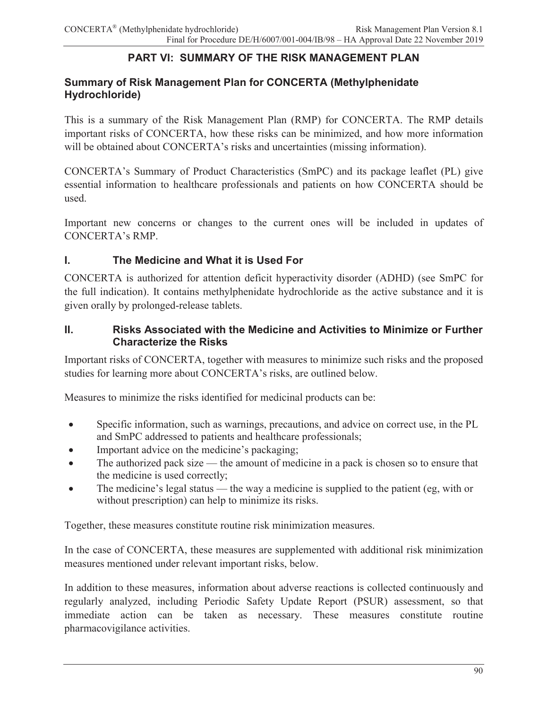### **PART VI: SUMMARY OF THE RISK MANAGEMENT PLAN**

### **Summary of Risk Management Plan for CONCERTA (Methylphenidate Hydrochloride)**

This is a summary of the Risk Management Plan (RMP) for CONCERTA. The RMP details important risks of CONCERTA, how these risks can be minimized, and how more information will be obtained about CONCERTA's risks and uncertainties (missing information).

CONCERTA's Summary of Product Characteristics (SmPC) and its package leaflet (PL) give essential information to healthcare professionals and patients on how CONCERTA should be used.

Important new concerns or changes to the current ones will be included in updates of CONCERTA's RMP.

### **I. The Medicine and What it is Used For**

CONCERTA is authorized for attention deficit hyperactivity disorder (ADHD) (see SmPC for the full indication). It contains methylphenidate hydrochloride as the active substance and it is given orally by prolonged-release tablets.

#### **II. Risks Associated with the Medicine and Activities to Minimize or Further Characterize the Risks**

Important risks of CONCERTA, together with measures to minimize such risks and the proposed studies for learning more about CONCERTA's risks, are outlined below.

Measures to minimize the risks identified for medicinal products can be:

- ! Specific information, such as warnings, precautions, and advice on correct use, in the PL and SmPC addressed to patients and healthcare professionals;
- Important advice on the medicine's packaging;
- The authorized pack size the amount of medicine in a pack is chosen so to ensure that the medicine is used correctly;
- The medicine's legal status the way a medicine is supplied to the patient (eg, with or without prescription) can help to minimize its risks.

Together, these measures constitute routine risk minimization measures.

In the case of CONCERTA, these measures are supplemented with additional risk minimization measures mentioned under relevant important risks, below.

In addition to these measures, information about adverse reactions is collected continuously and regularly analyzed, including Periodic Safety Update Report (PSUR) assessment, so that immediate action can be taken as necessary. These measures constitute routine pharmacovigilance activities.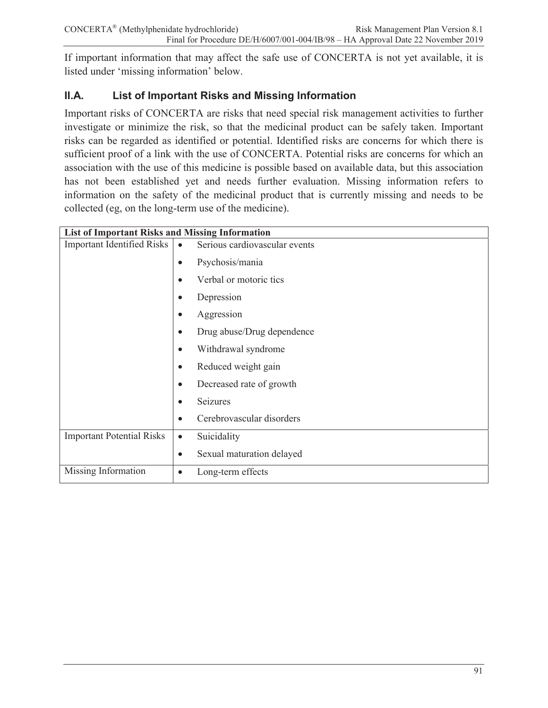If important information that may affect the safe use of CONCERTA is not yet available, it is listed under 'missing information' below.

# **II.A. List of Important Risks and Missing Information**

Important risks of CONCERTA are risks that need special risk management activities to further investigate or minimize the risk, so that the medicinal product can be safely taken. Important risks can be regarded as identified or potential. Identified risks are concerns for which there is sufficient proof of a link with the use of CONCERTA. Potential risks are concerns for which an association with the use of this medicine is possible based on available data, but this association has not been established yet and needs further evaluation. Missing information refers to information on the safety of the medicinal product that is currently missing and needs to be collected (eg, on the long-term use of the medicine).

| <b>List of Important Risks and Missing Information</b> |                                            |
|--------------------------------------------------------|--------------------------------------------|
| <b>Important Identified Risks</b>                      | Serious cardiovascular events<br>$\bullet$ |
|                                                        | Psychosis/mania<br>$\bullet$               |
|                                                        | Verbal or motoric tics                     |
|                                                        | Depression                                 |
|                                                        | Aggression                                 |
|                                                        | Drug abuse/Drug dependence<br>$\bullet$    |
|                                                        | Withdrawal syndrome<br>$\bullet$           |
|                                                        | Reduced weight gain<br>$\bullet$           |
|                                                        | Decreased rate of growth                   |
|                                                        | Seizures                                   |
|                                                        | Cerebrovascular disorders<br>$\bullet$     |
| <b>Important Potential Risks</b>                       | Suicidality<br>$\bullet$                   |
|                                                        | Sexual maturation delayed<br>$\bullet$     |
| Missing Information                                    | Long-term effects<br>$\bullet$             |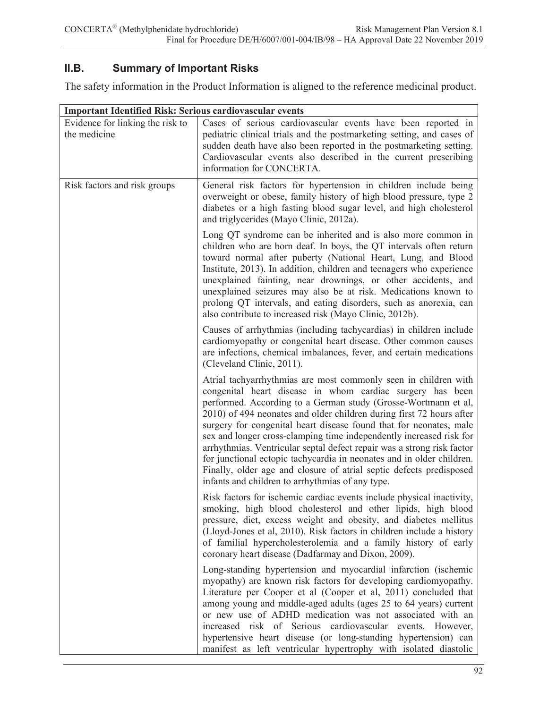# **II.B. Summary of Important Risks**

The safety information in the Product Information is aligned to the reference medicinal product.

| <b>Important Identified Risk: Serious cardiovascular events</b> |                                                                                                                                                                                                                                                                                                                                                                                                                                                                                                                                                                                                                                                                                                   |
|-----------------------------------------------------------------|---------------------------------------------------------------------------------------------------------------------------------------------------------------------------------------------------------------------------------------------------------------------------------------------------------------------------------------------------------------------------------------------------------------------------------------------------------------------------------------------------------------------------------------------------------------------------------------------------------------------------------------------------------------------------------------------------|
| Evidence for linking the risk to<br>the medicine                | Cases of serious cardiovascular events have been reported in<br>pediatric clinical trials and the postmarketing setting, and cases of<br>sudden death have also been reported in the postmarketing setting.<br>Cardiovascular events also described in the current prescribing<br>information for CONCERTA.                                                                                                                                                                                                                                                                                                                                                                                       |
| Risk factors and risk groups                                    | General risk factors for hypertension in children include being<br>overweight or obese, family history of high blood pressure, type 2<br>diabetes or a high fasting blood sugar level, and high cholesterol<br>and triglycerides (Mayo Clinic, 2012a).                                                                                                                                                                                                                                                                                                                                                                                                                                            |
|                                                                 | Long QT syndrome can be inherited and is also more common in<br>children who are born deaf. In boys, the QT intervals often return<br>toward normal after puberty (National Heart, Lung, and Blood<br>Institute, 2013). In addition, children and teenagers who experience<br>unexplained fainting, near drownings, or other accidents, and<br>unexplained seizures may also be at risk. Medications known to<br>prolong QT intervals, and eating disorders, such as anorexia, can<br>also contribute to increased risk (Mayo Clinic, 2012b).                                                                                                                                                     |
|                                                                 | Causes of arrhythmias (including tachycardias) in children include<br>cardiomyopathy or congenital heart disease. Other common causes<br>are infections, chemical imbalances, fever, and certain medications<br>(Cleveland Clinic, 2011).                                                                                                                                                                                                                                                                                                                                                                                                                                                         |
|                                                                 | Atrial tachyarrhythmias are most commonly seen in children with<br>congenital heart disease in whom cardiac surgery has been<br>performed. According to a German study (Grosse-Wortmann et al,<br>2010) of 494 neonates and older children during first 72 hours after<br>surgery for congenital heart disease found that for neonates, male<br>sex and longer cross-clamping time independently increased risk for<br>arrhythmias. Ventricular septal defect repair was a strong risk factor<br>for junctional ectopic tachycardia in neonates and in older children.<br>Finally, older age and closure of atrial septic defects predisposed<br>infants and children to arrhythmias of any type. |
|                                                                 | Risk factors for ischemic cardiac events include physical inactivity,<br>smoking, high blood cholesterol and other lipids, high blood<br>pressure, diet, excess weight and obesity, and diabetes mellitus<br>(Lloyd-Jones et al, 2010). Risk factors in children include a history<br>of familial hypercholesterolemia and a family history of early<br>coronary heart disease (Dadfarmay and Dixon, 2009).                                                                                                                                                                                                                                                                                       |
|                                                                 | Long-standing hypertension and myocardial infarction (ischemic<br>myopathy) are known risk factors for developing cardiomyopathy.<br>Literature per Cooper et al (Cooper et al, 2011) concluded that<br>among young and middle-aged adults (ages 25 to 64 years) current<br>or new use of ADHD medication was not associated with an<br>increased risk of Serious cardiovascular<br>events. However,<br>hypertensive heart disease (or long-standing hypertension) can<br>manifest as left ventricular hypertrophy with isolated diastolic                                                                                                                                                        |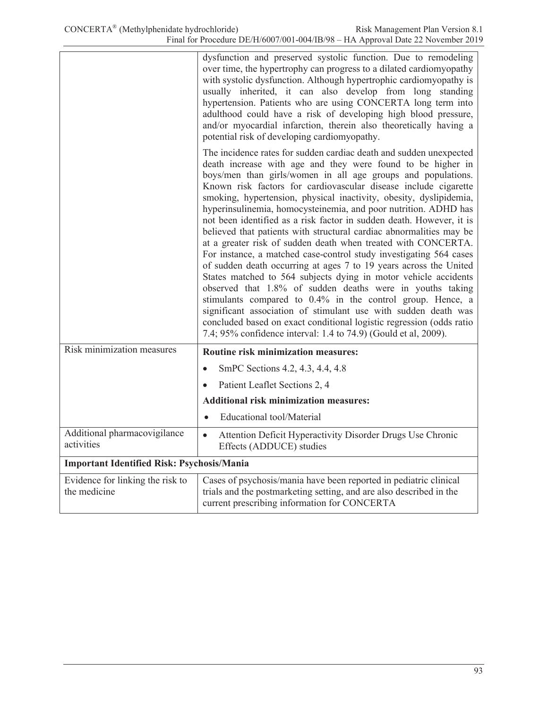|                                                  | dysfunction and preserved systolic function. Due to remodeling<br>over time, the hypertrophy can progress to a dilated cardiomyopathy<br>with systolic dysfunction. Although hypertrophic cardiomyopathy is<br>usually inherited, it can also develop from long standing<br>hypertension. Patients who are using CONCERTA long term into<br>adulthood could have a risk of developing high blood pressure,<br>and/or myocardial infarction, therein also theoretically having a<br>potential risk of developing cardiomyopathy.                                                                                                                                                                                                                                                                                                                                                                                                                                                                                                                                                                                                                                                     |
|--------------------------------------------------|-------------------------------------------------------------------------------------------------------------------------------------------------------------------------------------------------------------------------------------------------------------------------------------------------------------------------------------------------------------------------------------------------------------------------------------------------------------------------------------------------------------------------------------------------------------------------------------------------------------------------------------------------------------------------------------------------------------------------------------------------------------------------------------------------------------------------------------------------------------------------------------------------------------------------------------------------------------------------------------------------------------------------------------------------------------------------------------------------------------------------------------------------------------------------------------|
|                                                  | The incidence rates for sudden cardiac death and sudden unexpected<br>death increase with age and they were found to be higher in<br>boys/men than girls/women in all age groups and populations.<br>Known risk factors for cardiovascular disease include cigarette<br>smoking, hypertension, physical inactivity, obesity, dyslipidemia,<br>hyperinsulinemia, homocysteinemia, and poor nutrition. ADHD has<br>not been identified as a risk factor in sudden death. However, it is<br>believed that patients with structural cardiac abnormalities may be<br>at a greater risk of sudden death when treated with CONCERTA.<br>For instance, a matched case-control study investigating 564 cases<br>of sudden death occurring at ages 7 to 19 years across the United<br>States matched to 564 subjects dying in motor vehicle accidents<br>observed that 1.8% of sudden deaths were in youths taking<br>stimulants compared to 0.4% in the control group. Hence, a<br>significant association of stimulant use with sudden death was<br>concluded based on exact conditional logistic regression (odds ratio<br>7.4; 95% confidence interval: 1.4 to 74.9) (Gould et al, 2009). |
| Risk minimization measures                       | Routine risk minimization measures:                                                                                                                                                                                                                                                                                                                                                                                                                                                                                                                                                                                                                                                                                                                                                                                                                                                                                                                                                                                                                                                                                                                                                 |
|                                                  | SmPC Sections 4.2, 4.3, 4.4, 4.8<br>$\bullet$                                                                                                                                                                                                                                                                                                                                                                                                                                                                                                                                                                                                                                                                                                                                                                                                                                                                                                                                                                                                                                                                                                                                       |
|                                                  | Patient Leaflet Sections 2, 4                                                                                                                                                                                                                                                                                                                                                                                                                                                                                                                                                                                                                                                                                                                                                                                                                                                                                                                                                                                                                                                                                                                                                       |
|                                                  | <b>Additional risk minimization measures:</b>                                                                                                                                                                                                                                                                                                                                                                                                                                                                                                                                                                                                                                                                                                                                                                                                                                                                                                                                                                                                                                                                                                                                       |
|                                                  | <b>Educational</b> tool/Material                                                                                                                                                                                                                                                                                                                                                                                                                                                                                                                                                                                                                                                                                                                                                                                                                                                                                                                                                                                                                                                                                                                                                    |
| Additional pharmacovigilance<br>activities       | Attention Deficit Hyperactivity Disorder Drugs Use Chronic<br>$\bullet$<br>Effects (ADDUCE) studies                                                                                                                                                                                                                                                                                                                                                                                                                                                                                                                                                                                                                                                                                                                                                                                                                                                                                                                                                                                                                                                                                 |
| Important Identified Risk: Psychosis/Mania       |                                                                                                                                                                                                                                                                                                                                                                                                                                                                                                                                                                                                                                                                                                                                                                                                                                                                                                                                                                                                                                                                                                                                                                                     |
| Evidence for linking the risk to<br>the medicine | Cases of psychosis/mania have been reported in pediatric clinical<br>trials and the postmarketing setting, and are also described in the<br>current prescribing information for CONCERTA                                                                                                                                                                                                                                                                                                                                                                                                                                                                                                                                                                                                                                                                                                                                                                                                                                                                                                                                                                                            |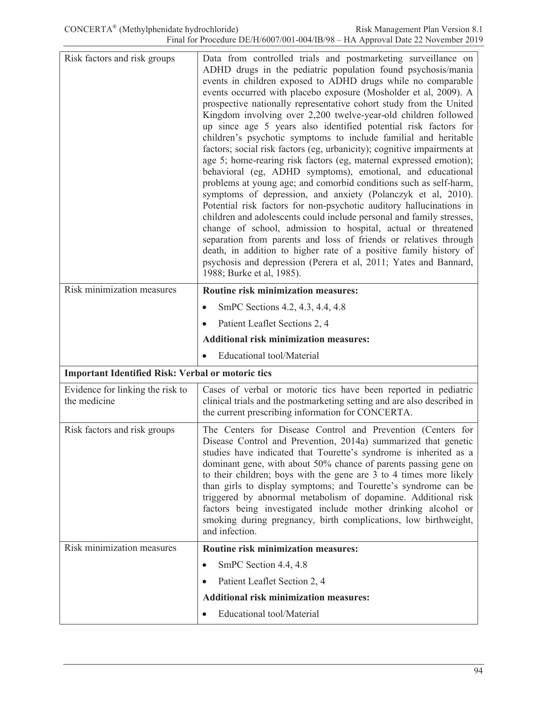| Risk factors and risk groups                             | Data from controlled trials and postmarketing surveillance on<br>ADHD drugs in the pediatric population found psychosis/mania<br>events in children exposed to ADHD drugs while no comparable<br>events occurred with placebo exposure (Mosholder et al, 2009). A<br>prospective nationally representative cohort study from the United<br>Kingdom involving over 2,200 twelve-year-old children followed<br>up since age 5 years also identified potential risk factors for<br>children's psychotic symptoms to include familial and heritable<br>factors; social risk factors (eg, urbanicity); cognitive impairments at<br>age 5; home-rearing risk factors (eg, maternal expressed emotion);<br>behavioral (eg, ADHD symptoms), emotional, and educational<br>problems at young age; and comorbid conditions such as self-harm,<br>symptoms of depression, and anxiety (Polanczyk et al, 2010).<br>Potential risk factors for non-psychotic auditory hallucinations in<br>children and adolescents could include personal and family stresses,<br>change of school, admission to hospital, actual or threatened<br>separation from parents and loss of friends or relatives through<br>death, in addition to higher rate of a positive family history of<br>psychosis and depression (Perera et al, 2011; Yates and Bannard,<br>1988; Burke et al, 1985). |
|----------------------------------------------------------|---------------------------------------------------------------------------------------------------------------------------------------------------------------------------------------------------------------------------------------------------------------------------------------------------------------------------------------------------------------------------------------------------------------------------------------------------------------------------------------------------------------------------------------------------------------------------------------------------------------------------------------------------------------------------------------------------------------------------------------------------------------------------------------------------------------------------------------------------------------------------------------------------------------------------------------------------------------------------------------------------------------------------------------------------------------------------------------------------------------------------------------------------------------------------------------------------------------------------------------------------------------------------------------------------------------------------------------------------------------|
| Risk minimization measures                               | <b>Routine risk minimization measures:</b>                                                                                                                                                                                                                                                                                                                                                                                                                                                                                                                                                                                                                                                                                                                                                                                                                                                                                                                                                                                                                                                                                                                                                                                                                                                                                                                    |
|                                                          | SmPC Sections 4.2, 4.3, 4.4, 4.8                                                                                                                                                                                                                                                                                                                                                                                                                                                                                                                                                                                                                                                                                                                                                                                                                                                                                                                                                                                                                                                                                                                                                                                                                                                                                                                              |
|                                                          | Patient Leaflet Sections 2, 4                                                                                                                                                                                                                                                                                                                                                                                                                                                                                                                                                                                                                                                                                                                                                                                                                                                                                                                                                                                                                                                                                                                                                                                                                                                                                                                                 |
|                                                          | <b>Additional risk minimization measures:</b>                                                                                                                                                                                                                                                                                                                                                                                                                                                                                                                                                                                                                                                                                                                                                                                                                                                                                                                                                                                                                                                                                                                                                                                                                                                                                                                 |
|                                                          | <b>Educational</b> tool/Material                                                                                                                                                                                                                                                                                                                                                                                                                                                                                                                                                                                                                                                                                                                                                                                                                                                                                                                                                                                                                                                                                                                                                                                                                                                                                                                              |
| <b>Important Identified Risk: Verbal or motoric tics</b> |                                                                                                                                                                                                                                                                                                                                                                                                                                                                                                                                                                                                                                                                                                                                                                                                                                                                                                                                                                                                                                                                                                                                                                                                                                                                                                                                                               |
| Evidence for linking the risk to<br>the medicine         | Cases of verbal or motoric tics have been reported in pediatric<br>clinical trials and the postmarketing setting and are also described in<br>the current prescribing information for CONCERTA.                                                                                                                                                                                                                                                                                                                                                                                                                                                                                                                                                                                                                                                                                                                                                                                                                                                                                                                                                                                                                                                                                                                                                               |
| Risk factors and risk groups                             | The Centers for Disease Control and Prevention (Centers for<br>Disease Control and Prevention, 2014a) summarized that genetic<br>studies have indicated that Tourette's syndrome is inherited as a<br>dominant gene, with about 50% chance of parents passing gene on<br>to their children; boys with the gene are 3 to 4 times more likely<br>than girls to display symptoms; and Tourette's syndrome can be<br>triggered by abnormal metabolism of dopamine. Additional risk<br>factors being investigated include mother drinking alcohol or<br>smoking during pregnancy, birth complications, low birthweight,<br>and infection.                                                                                                                                                                                                                                                                                                                                                                                                                                                                                                                                                                                                                                                                                                                          |
| Risk minimization measures                               | <b>Routine risk minimization measures:</b>                                                                                                                                                                                                                                                                                                                                                                                                                                                                                                                                                                                                                                                                                                                                                                                                                                                                                                                                                                                                                                                                                                                                                                                                                                                                                                                    |
|                                                          | SmPC Section 4.4, 4.8<br>$\bullet$                                                                                                                                                                                                                                                                                                                                                                                                                                                                                                                                                                                                                                                                                                                                                                                                                                                                                                                                                                                                                                                                                                                                                                                                                                                                                                                            |
|                                                          | Patient Leaflet Section 2, 4                                                                                                                                                                                                                                                                                                                                                                                                                                                                                                                                                                                                                                                                                                                                                                                                                                                                                                                                                                                                                                                                                                                                                                                                                                                                                                                                  |
|                                                          | <b>Additional risk minimization measures:</b>                                                                                                                                                                                                                                                                                                                                                                                                                                                                                                                                                                                                                                                                                                                                                                                                                                                                                                                                                                                                                                                                                                                                                                                                                                                                                                                 |
|                                                          | Educational tool/Material                                                                                                                                                                                                                                                                                                                                                                                                                                                                                                                                                                                                                                                                                                                                                                                                                                                                                                                                                                                                                                                                                                                                                                                                                                                                                                                                     |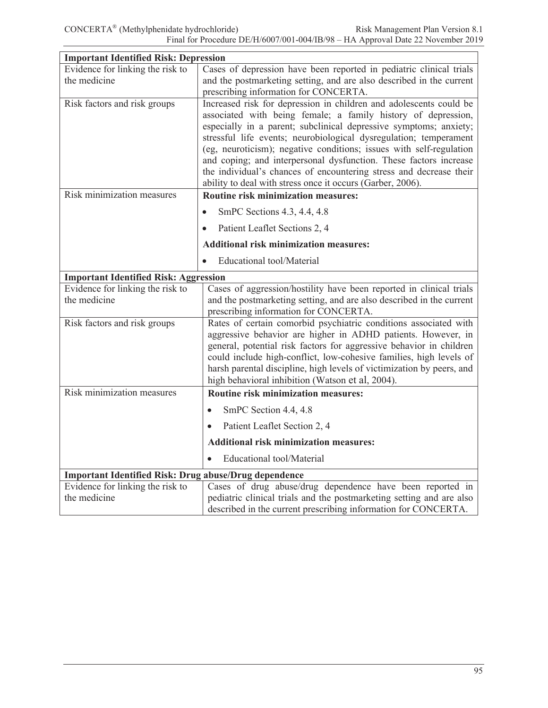| <b>Important Identified Risk: Depression</b>                 |                                                                       |
|--------------------------------------------------------------|-----------------------------------------------------------------------|
| Evidence for linking the risk to                             | Cases of depression have been reported in pediatric clinical trials   |
| the medicine                                                 | and the postmarketing setting, and are also described in the current  |
|                                                              | prescribing information for CONCERTA.                                 |
| Risk factors and risk groups                                 | Increased risk for depression in children and adolescents could be    |
|                                                              | associated with being female; a family history of depression,         |
|                                                              | especially in a parent; subclinical depressive symptoms; anxiety;     |
|                                                              | stressful life events; neurobiological dysregulation; temperament     |
|                                                              | (eg, neuroticism); negative conditions; issues with self-regulation   |
|                                                              | and coping; and interpersonal dysfunction. These factors increase     |
|                                                              | the individual's chances of encountering stress and decrease their    |
| Risk minimization measures                                   | ability to deal with stress once it occurs (Garber, 2006).            |
|                                                              | Routine risk minimization measures:                                   |
|                                                              | SmPC Sections 4.3, 4.4, 4.8<br>$\bullet$                              |
|                                                              | Patient Leaflet Sections 2, 4<br>$\bullet$                            |
|                                                              | <b>Additional risk minimization measures:</b>                         |
|                                                              | <b>Educational</b> tool/Material<br>$\bullet$                         |
| <b>Important Identified Risk: Aggression</b>                 |                                                                       |
| Evidence for linking the risk to                             | Cases of aggression/hostility have been reported in clinical trials   |
| the medicine                                                 | and the postmarketing setting, and are also described in the current  |
|                                                              | prescribing information for CONCERTA.                                 |
| Risk factors and risk groups                                 | Rates of certain comorbid psychiatric conditions associated with      |
|                                                              | aggressive behavior are higher in ADHD patients. However, in          |
|                                                              | general, potential risk factors for aggressive behavior in children   |
|                                                              | could include high-conflict, low-cohesive families, high levels of    |
|                                                              | harsh parental discipline, high levels of victimization by peers, and |
| Risk minimization measures                                   | high behavioral inhibition (Watson et al, 2004).                      |
|                                                              | Routine risk minimization measures:                                   |
|                                                              | SmPC Section 4.4, 4.8<br>$\bullet$                                    |
|                                                              | Patient Leaflet Section 2, 4<br>$\bullet$                             |
|                                                              | <b>Additional risk minimization measures:</b>                         |
|                                                              | <b>Educational</b> tool/Material                                      |
| <b>Important Identified Risk: Drug abuse/Drug dependence</b> |                                                                       |
| Evidence for linking the risk to                             | Cases of drug abuse/drug dependence have been reported in             |
| the medicine                                                 | pediatric clinical trials and the postmarketing setting and are also  |
|                                                              | described in the current prescribing information for CONCERTA.        |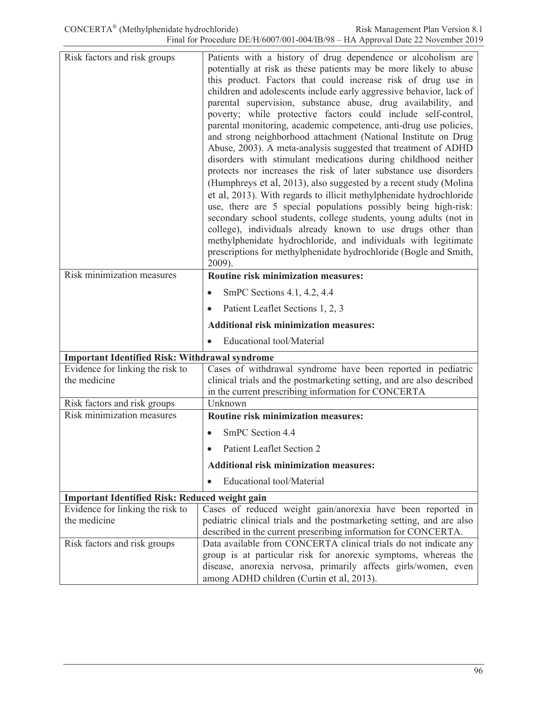| Risk factors and risk groups                          | Patients with a history of drug dependence or alcoholism are<br>potentially at risk as these patients may be more likely to abuse<br>this product. Factors that could increase risk of drug use in<br>children and adolescents include early aggressive behavior, lack of<br>parental supervision, substance abuse, drug availability, and<br>poverty; while protective factors could include self-control,<br>parental monitoring, academic competence, anti-drug use policies,<br>and strong neighborhood attachment (National Institute on Drug<br>Abuse, 2003). A meta-analysis suggested that treatment of ADHD<br>disorders with stimulant medications during childhood neither<br>protects nor increases the risk of later substance use disorders<br>(Humphreys et al, 2013), also suggested by a recent study (Molina<br>et al, 2013). With regards to illicit methylphenidate hydrochloride<br>use, there are 5 special populations possibly being high-risk:<br>secondary school students, college students, young adults (not in<br>college), individuals already known to use drugs other than<br>methylphenidate hydrochloride, and individuals with legitimate<br>prescriptions for methylphenidate hydrochloride (Bogle and Smith,<br>2009). |
|-------------------------------------------------------|--------------------------------------------------------------------------------------------------------------------------------------------------------------------------------------------------------------------------------------------------------------------------------------------------------------------------------------------------------------------------------------------------------------------------------------------------------------------------------------------------------------------------------------------------------------------------------------------------------------------------------------------------------------------------------------------------------------------------------------------------------------------------------------------------------------------------------------------------------------------------------------------------------------------------------------------------------------------------------------------------------------------------------------------------------------------------------------------------------------------------------------------------------------------------------------------------------------------------------------------------------------|
| Risk minimization measures                            | <b>Routine risk minimization measures:</b>                                                                                                                                                                                                                                                                                                                                                                                                                                                                                                                                                                                                                                                                                                                                                                                                                                                                                                                                                                                                                                                                                                                                                                                                                   |
|                                                       | SmPC Sections 4.1, 4.2, 4.4                                                                                                                                                                                                                                                                                                                                                                                                                                                                                                                                                                                                                                                                                                                                                                                                                                                                                                                                                                                                                                                                                                                                                                                                                                  |
|                                                       | Patient Leaflet Sections 1, 2, 3                                                                                                                                                                                                                                                                                                                                                                                                                                                                                                                                                                                                                                                                                                                                                                                                                                                                                                                                                                                                                                                                                                                                                                                                                             |
|                                                       |                                                                                                                                                                                                                                                                                                                                                                                                                                                                                                                                                                                                                                                                                                                                                                                                                                                                                                                                                                                                                                                                                                                                                                                                                                                              |
|                                                       | <b>Additional risk minimization measures:</b>                                                                                                                                                                                                                                                                                                                                                                                                                                                                                                                                                                                                                                                                                                                                                                                                                                                                                                                                                                                                                                                                                                                                                                                                                |
|                                                       | Educational tool/Material<br>$\bullet$                                                                                                                                                                                                                                                                                                                                                                                                                                                                                                                                                                                                                                                                                                                                                                                                                                                                                                                                                                                                                                                                                                                                                                                                                       |
| <b>Important Identified Risk: Withdrawal syndrome</b> |                                                                                                                                                                                                                                                                                                                                                                                                                                                                                                                                                                                                                                                                                                                                                                                                                                                                                                                                                                                                                                                                                                                                                                                                                                                              |
| Evidence for linking the risk to<br>the medicine      | Cases of withdrawal syndrome have been reported in pediatric<br>clinical trials and the postmarketing setting, and are also described<br>in the current prescribing information for CONCERTA                                                                                                                                                                                                                                                                                                                                                                                                                                                                                                                                                                                                                                                                                                                                                                                                                                                                                                                                                                                                                                                                 |
| Risk factors and risk groups                          | Unknown                                                                                                                                                                                                                                                                                                                                                                                                                                                                                                                                                                                                                                                                                                                                                                                                                                                                                                                                                                                                                                                                                                                                                                                                                                                      |
| Risk minimization measures                            | Routine risk minimization measures:                                                                                                                                                                                                                                                                                                                                                                                                                                                                                                                                                                                                                                                                                                                                                                                                                                                                                                                                                                                                                                                                                                                                                                                                                          |
|                                                       | SmPC Section 4.4                                                                                                                                                                                                                                                                                                                                                                                                                                                                                                                                                                                                                                                                                                                                                                                                                                                                                                                                                                                                                                                                                                                                                                                                                                             |
|                                                       | Patient Leaflet Section 2                                                                                                                                                                                                                                                                                                                                                                                                                                                                                                                                                                                                                                                                                                                                                                                                                                                                                                                                                                                                                                                                                                                                                                                                                                    |
|                                                       | <b>Additional risk minimization measures:</b>                                                                                                                                                                                                                                                                                                                                                                                                                                                                                                                                                                                                                                                                                                                                                                                                                                                                                                                                                                                                                                                                                                                                                                                                                |
|                                                       | <b>Educational tool/Material</b>                                                                                                                                                                                                                                                                                                                                                                                                                                                                                                                                                                                                                                                                                                                                                                                                                                                                                                                                                                                                                                                                                                                                                                                                                             |
| <b>Important Identified Risk: Reduced weight gain</b> |                                                                                                                                                                                                                                                                                                                                                                                                                                                                                                                                                                                                                                                                                                                                                                                                                                                                                                                                                                                                                                                                                                                                                                                                                                                              |
| Evidence for linking the risk to                      | Cases of reduced weight gain/anorexia have been reported in                                                                                                                                                                                                                                                                                                                                                                                                                                                                                                                                                                                                                                                                                                                                                                                                                                                                                                                                                                                                                                                                                                                                                                                                  |
| the medicine                                          | pediatric clinical trials and the postmarketing setting, and are also                                                                                                                                                                                                                                                                                                                                                                                                                                                                                                                                                                                                                                                                                                                                                                                                                                                                                                                                                                                                                                                                                                                                                                                        |
| Risk factors and risk groups                          | described in the current prescribing information for CONCERTA.<br>Data available from CONCERTA clinical trials do not indicate any                                                                                                                                                                                                                                                                                                                                                                                                                                                                                                                                                                                                                                                                                                                                                                                                                                                                                                                                                                                                                                                                                                                           |
|                                                       | group is at particular risk for anorexic symptoms, whereas the<br>disease, anorexia nervosa, primarily affects girls/women, even                                                                                                                                                                                                                                                                                                                                                                                                                                                                                                                                                                                                                                                                                                                                                                                                                                                                                                                                                                                                                                                                                                                             |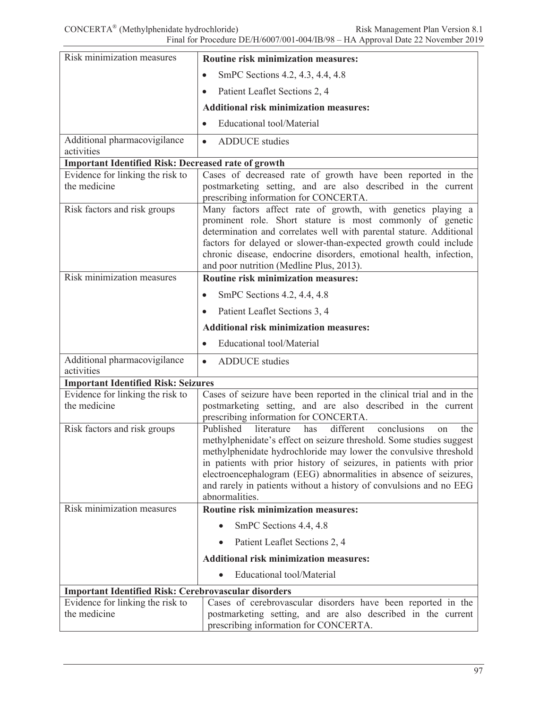| Risk minimization measures                                  | Routine risk minimization measures:                                                                                                                                                                                                                                                                                                                                                                                                                  |
|-------------------------------------------------------------|------------------------------------------------------------------------------------------------------------------------------------------------------------------------------------------------------------------------------------------------------------------------------------------------------------------------------------------------------------------------------------------------------------------------------------------------------|
|                                                             | SmPC Sections 4.2, 4.3, 4.4, 4.8<br>$\bullet$                                                                                                                                                                                                                                                                                                                                                                                                        |
|                                                             | Patient Leaflet Sections 2, 4                                                                                                                                                                                                                                                                                                                                                                                                                        |
|                                                             | <b>Additional risk minimization measures:</b>                                                                                                                                                                                                                                                                                                                                                                                                        |
|                                                             | <b>Educational</b> tool/Material                                                                                                                                                                                                                                                                                                                                                                                                                     |
| Additional pharmacovigilance                                | <b>ADDUCE</b> studies<br>$\bullet$                                                                                                                                                                                                                                                                                                                                                                                                                   |
| activities                                                  |                                                                                                                                                                                                                                                                                                                                                                                                                                                      |
| <b>Important Identified Risk: Decreased rate of growth</b>  |                                                                                                                                                                                                                                                                                                                                                                                                                                                      |
| Evidence for linking the risk to<br>the medicine            | Cases of decreased rate of growth have been reported in the<br>postmarketing setting, and are also described in the current<br>prescribing information for CONCERTA.                                                                                                                                                                                                                                                                                 |
| Risk factors and risk groups                                | Many factors affect rate of growth, with genetics playing a<br>prominent role. Short stature is most commonly of genetic<br>determination and correlates well with parental stature. Additional<br>factors for delayed or slower-than-expected growth could include<br>chronic disease, endocrine disorders, emotional health, infection,<br>and poor nutrition (Medline Plus, 2013).                                                                |
| Risk minimization measures                                  | <b>Routine risk minimization measures:</b>                                                                                                                                                                                                                                                                                                                                                                                                           |
|                                                             | SmPC Sections 4.2, 4.4, 4.8<br>$\bullet$                                                                                                                                                                                                                                                                                                                                                                                                             |
|                                                             | Patient Leaflet Sections 3, 4<br>$\bullet$                                                                                                                                                                                                                                                                                                                                                                                                           |
|                                                             | <b>Additional risk minimization measures:</b>                                                                                                                                                                                                                                                                                                                                                                                                        |
|                                                             | <b>Educational tool/Material</b><br>$\bullet$                                                                                                                                                                                                                                                                                                                                                                                                        |
| Additional pharmacovigilance                                | <b>ADDUCE</b> studies<br>$\bullet$                                                                                                                                                                                                                                                                                                                                                                                                                   |
| activities<br><b>Important Identified Risk: Seizures</b>    |                                                                                                                                                                                                                                                                                                                                                                                                                                                      |
| Evidence for linking the risk to                            | Cases of seizure have been reported in the clinical trial and in the                                                                                                                                                                                                                                                                                                                                                                                 |
| the medicine                                                | postmarketing setting, and are also described in the current<br>prescribing information for CONCERTA.                                                                                                                                                                                                                                                                                                                                                |
| Risk factors and risk groups                                | Published<br>different<br>conclusions<br>literature<br>has<br>the<br>on<br>methylphenidate's effect on seizure threshold. Some studies suggest<br>methylphenidate hydrochloride may lower the convulsive threshold<br>in patients with prior history of seizures, in patients with prior<br>electroencephalogram (EEG) abnormalities in absence of seizures,<br>and rarely in patients without a history of convulsions and no EEG<br>abnormalities. |
| Risk minimization measures                                  | <b>Routine risk minimization measures:</b>                                                                                                                                                                                                                                                                                                                                                                                                           |
|                                                             | SmPC Sections 4.4, 4.8                                                                                                                                                                                                                                                                                                                                                                                                                               |
|                                                             | Patient Leaflet Sections 2, 4<br>$\bullet$                                                                                                                                                                                                                                                                                                                                                                                                           |
|                                                             | <b>Additional risk minimization measures:</b>                                                                                                                                                                                                                                                                                                                                                                                                        |
|                                                             | <b>Educational tool/Material</b>                                                                                                                                                                                                                                                                                                                                                                                                                     |
| <b>Important Identified Risk: Cerebrovascular disorders</b> |                                                                                                                                                                                                                                                                                                                                                                                                                                                      |
| Evidence for linking the risk to                            | Cases of cerebrovascular disorders have been reported in the                                                                                                                                                                                                                                                                                                                                                                                         |
| the medicine                                                | postmarketing setting, and are also described in the current<br>prescribing information for CONCERTA.                                                                                                                                                                                                                                                                                                                                                |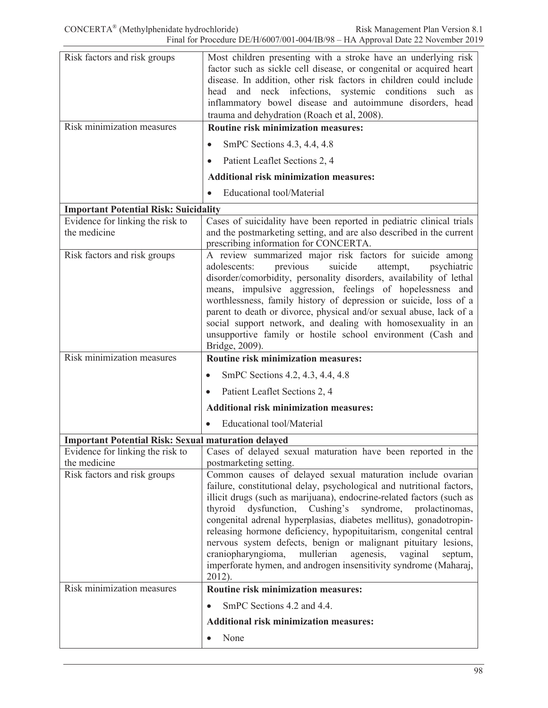| Risk factors and risk groups                               | Most children presenting with a stroke have an underlying risk<br>factor such as sickle cell disease, or congenital or acquired heart<br>disease. In addition, other risk factors in children could include<br>head and neck infections, systemic conditions<br>such<br>as<br>inflammatory bowel disease and autoimmune disorders, head<br>trauma and dehydration (Roach et al, 2008).                                                                                                                                                                                                                                                                                   |
|------------------------------------------------------------|--------------------------------------------------------------------------------------------------------------------------------------------------------------------------------------------------------------------------------------------------------------------------------------------------------------------------------------------------------------------------------------------------------------------------------------------------------------------------------------------------------------------------------------------------------------------------------------------------------------------------------------------------------------------------|
| Risk minimization measures                                 | <b>Routine risk minimization measures:</b>                                                                                                                                                                                                                                                                                                                                                                                                                                                                                                                                                                                                                               |
|                                                            | SmPC Sections 4.3, 4.4, 4.8                                                                                                                                                                                                                                                                                                                                                                                                                                                                                                                                                                                                                                              |
|                                                            | Patient Leaflet Sections 2, 4                                                                                                                                                                                                                                                                                                                                                                                                                                                                                                                                                                                                                                            |
|                                                            | <b>Additional risk minimization measures:</b>                                                                                                                                                                                                                                                                                                                                                                                                                                                                                                                                                                                                                            |
|                                                            | <b>Educational tool/Material</b>                                                                                                                                                                                                                                                                                                                                                                                                                                                                                                                                                                                                                                         |
| <b>Important Potential Risk: Suicidality</b>               |                                                                                                                                                                                                                                                                                                                                                                                                                                                                                                                                                                                                                                                                          |
| Evidence for linking the risk to<br>the medicine           | Cases of suicidality have been reported in pediatric clinical trials<br>and the postmarketing setting, and are also described in the current<br>prescribing information for CONCERTA.                                                                                                                                                                                                                                                                                                                                                                                                                                                                                    |
| Risk factors and risk groups                               | A review summarized major risk factors for suicide among<br>adolescents:<br>previous<br>suicide<br>attempt,<br>psychiatric<br>disorder/comorbidity, personality disorders, availability of lethal<br>means, impulsive aggression, feelings of hopelessness and<br>worthlessness, family history of depression or suicide, loss of a<br>parent to death or divorce, physical and/or sexual abuse, lack of a<br>social support network, and dealing with homosexuality in an<br>unsupportive family or hostile school environment (Cash and<br>Bridge, 2009).                                                                                                              |
| Risk minimization measures                                 | Routine risk minimization measures:                                                                                                                                                                                                                                                                                                                                                                                                                                                                                                                                                                                                                                      |
|                                                            | SmPC Sections 4.2, 4.3, 4.4, 4.8<br>$\bullet$                                                                                                                                                                                                                                                                                                                                                                                                                                                                                                                                                                                                                            |
|                                                            | Patient Leaflet Sections 2, 4<br>$\bullet$                                                                                                                                                                                                                                                                                                                                                                                                                                                                                                                                                                                                                               |
|                                                            | <b>Additional risk minimization measures:</b>                                                                                                                                                                                                                                                                                                                                                                                                                                                                                                                                                                                                                            |
|                                                            | Educational tool/Material                                                                                                                                                                                                                                                                                                                                                                                                                                                                                                                                                                                                                                                |
| <b>Important Potential Risk: Sexual maturation delayed</b> |                                                                                                                                                                                                                                                                                                                                                                                                                                                                                                                                                                                                                                                                          |
| Evidence for linking the risk to                           | Cases of delayed sexual maturation have been reported in the                                                                                                                                                                                                                                                                                                                                                                                                                                                                                                                                                                                                             |
| the medicine<br>Risk factors and risk groups               | postmarketing setting.<br>Common causes of delayed sexual maturation include ovarian<br>failure, constitutional delay, psychological and nutritional factors,<br>illicit drugs (such as marijuana), endocrine-related factors (such as<br>thyroid<br>dysfunction, Cushing's<br>syndrome, prolactinomas,<br>congenital adrenal hyperplasias, diabetes mellitus), gonadotropin-<br>releasing hormone deficiency, hypopituitarism, congenital central<br>nervous system defects, benign or malignant pituitary lesions,<br>mullerian<br>craniopharyngioma,<br>agenesis,<br>vaginal<br>septum,<br>imperforate hymen, and androgen insensitivity syndrome (Maharaj,<br>2012). |
| Risk minimization measures                                 | <b>Routine risk minimization measures:</b>                                                                                                                                                                                                                                                                                                                                                                                                                                                                                                                                                                                                                               |
|                                                            | SmPC Sections 4.2 and 4.4.<br>$\bullet$                                                                                                                                                                                                                                                                                                                                                                                                                                                                                                                                                                                                                                  |
|                                                            | <b>Additional risk minimization measures:</b>                                                                                                                                                                                                                                                                                                                                                                                                                                                                                                                                                                                                                            |
|                                                            | None<br>$\bullet$                                                                                                                                                                                                                                                                                                                                                                                                                                                                                                                                                                                                                                                        |